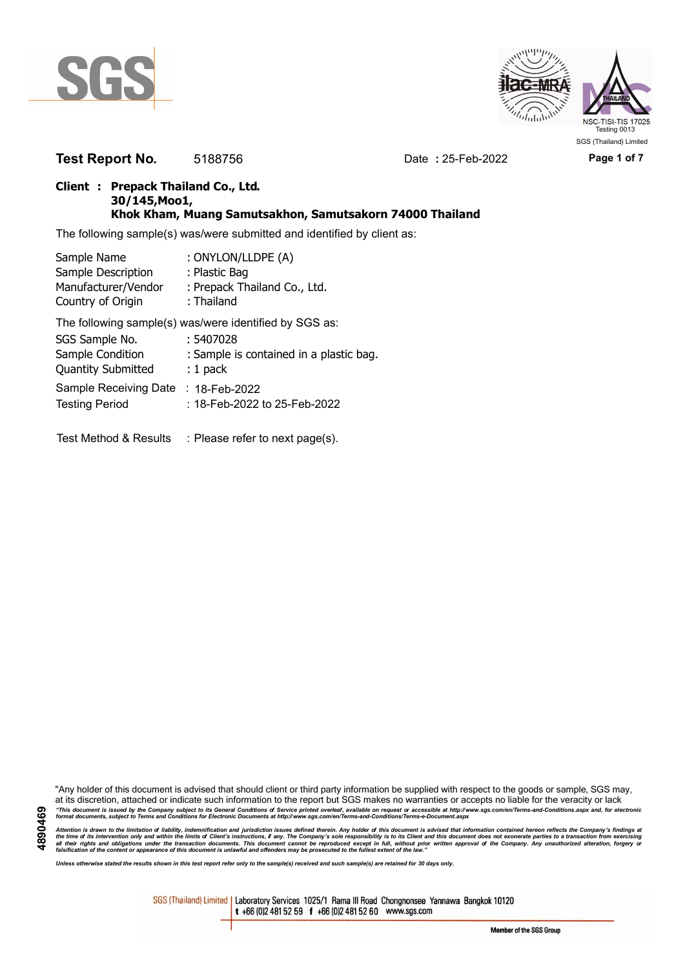

**4890469**



**Test Report No.** 5188756 Date **:** 25-Feb-2022 **Page 1 of 7**

#### **Client : Prepack Thailand Co., Ltd. 30/145,Moo1, Khok Kham, Muang Samutsakhon, Samutsakorn 74000 Thailand**

The following sample(s) was/were submitted and identified by client as:

| Sample Name               | : ONYLON/LLDPE (A)                                     |
|---------------------------|--------------------------------------------------------|
| Sample Description        | : Plastic Bag                                          |
| Manufacturer/Vendor       | : Prepack Thailand Co., Ltd.                           |
| Country of Origin         | : Thailand                                             |
|                           | The following sample(s) was/were identified by SGS as: |
| SGS Sample No.            | : 5407028                                              |
| Sample Condition          | : Sample is contained in a plastic bag.                |
| <b>Quantity Submitted</b> | $: 1$ pack                                             |
| Sample Receiving Date     | $: 18$ -Feb-2022                                       |
| <b>Testing Period</b>     | : 18-Feb-2022 to 25-Feb-2022                           |

Test Method & Results : Please refer to next page(s).

"Any holder of this document is advised that should client or third party information be supplied with respect to the goods or sample, SGS may, at its discretion, attached or indicate such information to the report but SGS makes no warranties or accepts no liable for the veracity or lack "This document is issued by the Company subject to its General Conditions of Service printed overleaf, available on request or accessible at http://www.sgs.com/en/Terms-and-Conditions.aspx and, for electronic<br>format docume

Attention is drawn to the limitation of liability, indemnification and jurisdiction issues defined therein. Any holder of this document is advised that information contained hereon reflects the Company's findings at<br>all th

*Unless otherwise stated the results shown in this test report refer only to the sample(s) received and such sample(s) are retained for 30 days only.*

SGS (Thailand) Limited | Laboratory Services 1025/1 Rama III Road Chongnonsee Yannawa Bangkok 10120 t +66 (0)2 481 52 59 f +66 (0)2 481 52 60 www.sgs.com

Member of the SGS Group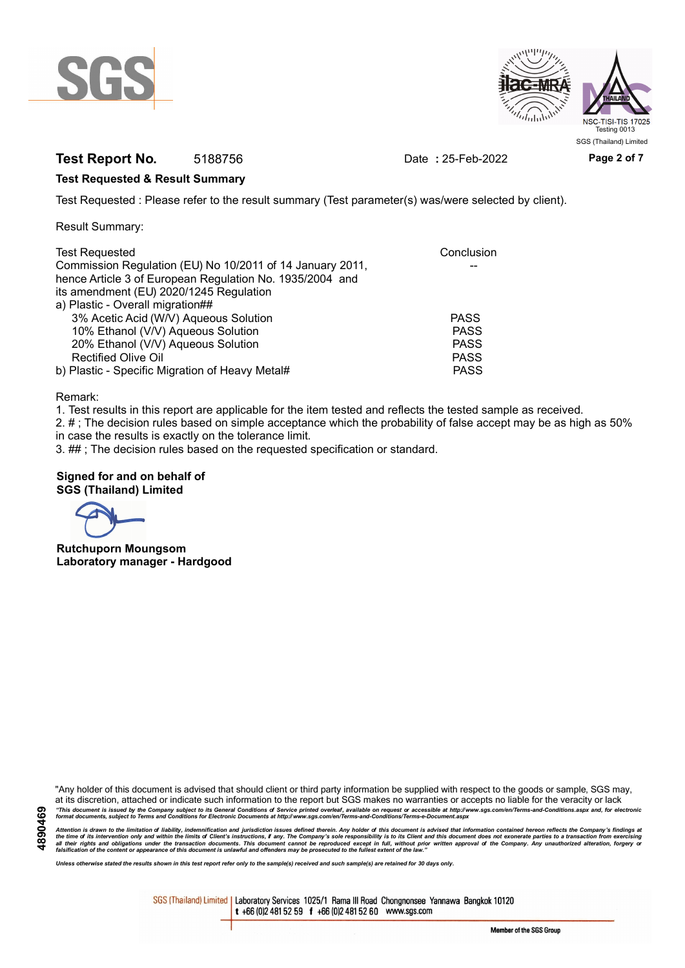



# **Test Report No.** 5188756 Date **:** 25-Feb-2022 Page 2 of 7

#### **Test Requested & Result Summary**

Test Requested : Please refer to the result summary (Test parameter(s) was/were selected by client).

Result Summary:

| <b>Test Requested</b>                                     | Conclusion  |
|-----------------------------------------------------------|-------------|
| Commission Regulation (EU) No 10/2011 of 14 January 2011, |             |
| hence Article 3 of European Regulation No. 1935/2004 and  |             |
| its amendment (EU) 2020/1245 Regulation                   |             |
| a) Plastic - Overall migration##                          |             |
| 3% Acetic Acid (W/V) Aqueous Solution                     | <b>PASS</b> |
| 10% Ethanol (V/V) Aqueous Solution                        | <b>PASS</b> |
| 20% Ethanol (V/V) Aqueous Solution                        | <b>PASS</b> |
| <b>Rectified Olive Oil</b>                                | <b>PASS</b> |
| b) Plastic - Specific Migration of Heavy Metal#           | <b>PASS</b> |

Remark:

1. Test results in this report are applicable for the item tested and reflects the tested sample as received.

2. # ; The decision rules based on simple acceptance which the probability of false accept may be as high as 50% in case the results is exactly on the tolerance limit.

3. ## ; The decision rules based on the requested specification or standard.

#### **Signed for and on behalf of SGS (Thailand) Limited**

**Rutchuporn Moungsom Laboratory manager - Hardgood**

"Any holder of this document is advised that should client or third party information be supplied with respect to the goods or sample, SGS may, at its discretion, attached or indicate such information to the report but SGS makes no warranties or accepts no liable for the veracity or lack "This document is issued by the Company subject to its General Conditions of Service printed overleaf, available on request or accessible at http://www.sgs.com/en/Terms-and-Conditions.aspx and, for electronic<br>format docume

Attention is drawn to the limitation of liability, indemnification and jurisdiction issues defined therein. Any holder of this document is advised that information contained hereon reflects the Company's findings at<br>all th

*Unless otherwise stated the results shown in this test report refer only to the sample(s) received and such sample(s) are retained for 30 days only.*

SGS (Thailand) Limited | Laboratory Services 1025/1 Rama III Road Chongnonsee Yannawa Bangkok 10120 t +66 (0)2 481 52 59 f +66 (0)2 481 52 60 www.sgs.com

Member of the SGS Group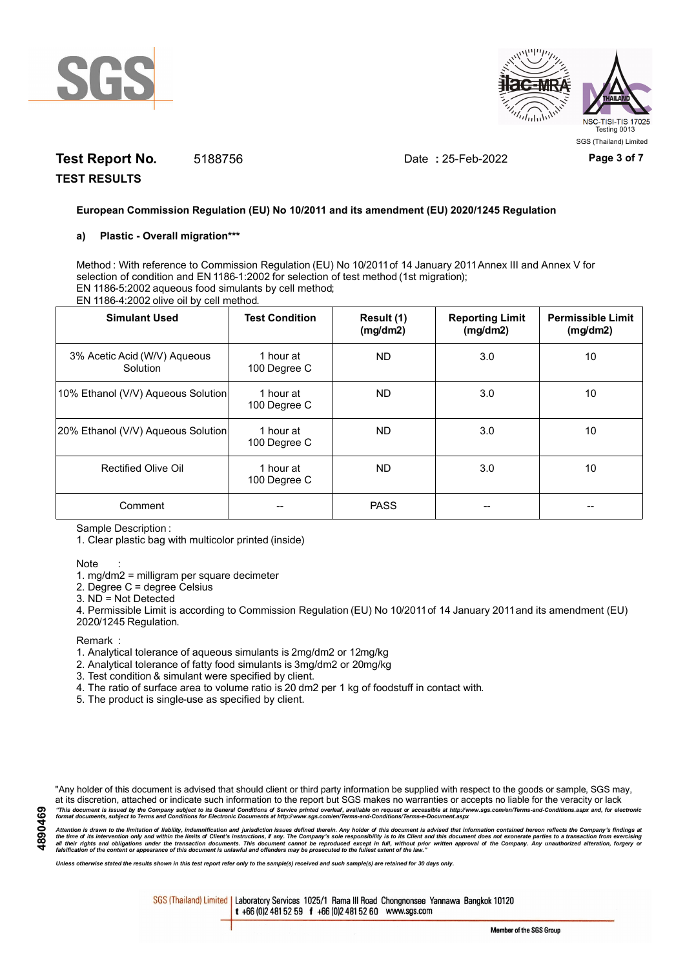



# **Test Report No.** 5188756 Date **:** 25-Feb-2022 Page 3 of 7

**TEST RESULTS**

#### **European Commission Regulation (EU) No 10/2011 and its amendment (EU) 2020/1245 Regulation**

#### **a) Plastic - Overall migration\*\*\***

Method : With reference to Commission Regulation (EU) No 10/2011 of 14 January 2011 Annex III and Annex V for selection of condition and EN 1186-1:2002 for selection of test method (1st migration); EN 1186-5:2002 aqueous food simulants by cell method; EN 1186-4:2002 olive oil by cell method.

| <b>Simulant Used</b>                     | <b>Test Condition</b>     | Result (1)<br>(mg/dm2) | <b>Reporting Limit</b><br>(mg/dm2) | <b>Permissible Limit</b><br>(mg/dm2) |
|------------------------------------------|---------------------------|------------------------|------------------------------------|--------------------------------------|
| 3% Acetic Acid (W/V) Aqueous<br>Solution | 1 hour at<br>100 Degree C | ND.                    | 3.0                                | 10                                   |
| 10% Ethanol (V/V) Aqueous Solution       | 1 hour at<br>100 Degree C | ND.                    | 3.0                                | 10                                   |
| 20% Ethanol (V/V) Aqueous Solution       | 1 hour at<br>100 Degree C | ND.                    | 3.0                                | 10                                   |
| Rectified Olive Oil                      | 1 hour at<br>100 Degree C | ND.                    | 3.0                                | 10                                   |
| Comment                                  |                           | <b>PASS</b>            |                                    |                                      |

Sample Description :

1. Clear plastic bag with multicolor printed (inside)

#### Note :

1. mg/dm2 = milligram per square decimeter

2. Degree C = degree Celsius

3. ND = Not Detected

4. Permissible Limit is according to Commission Regulation (EU) No 10/2011 of 14 January 2011 and its amendment (EU) 2020/1245 Regulation.

**Remark** 

- 1. Analytical tolerance of aqueous simulants is 2mg/dm2 or 12mg/kg
- 2. Analytical tolerance of fatty food simulants is 3mg/dm2 or 20mg/kg
- 3. Test condition & simulant were specified by client.
- 4. The ratio of surface area to volume ratio is 20 dm2 per 1 kg of foodstuff in contact with.
- 5. The product is single-use as specified by client.

"Any holder of this document is advised that should client or third party information be supplied with respect to the goods or sample, SGS may, at its discretion, attached or indicate such information to the report but SGS makes no warranties or accepts no liable for the veracity or lack "This document is issued by the Company subject to its General Conditions of Service printed overleaf, available on request or accessible at http://www.sgs.com/en/Terms-and-Conditions.aspx and, for electronic<br>format docume

Attention is drawn to the limitation of liability, indemnification and jurisdiction issues defined therein. Any holder of this document is advised that information contained hereon reflects the Company's findings at<br>all th

*Unless otherwise stated the results shown in this test report refer only to the sample(s) received and such sample(s) are retained for 30 days only.*

SGS (Thailand) Limited | Laboratory Services 1025/1 Rama III Road Chongnonsee Yannawa Bangkok 10120 t +66 (0)2 481 52 59 f +66 (0)2 481 52 60 www.sgs.com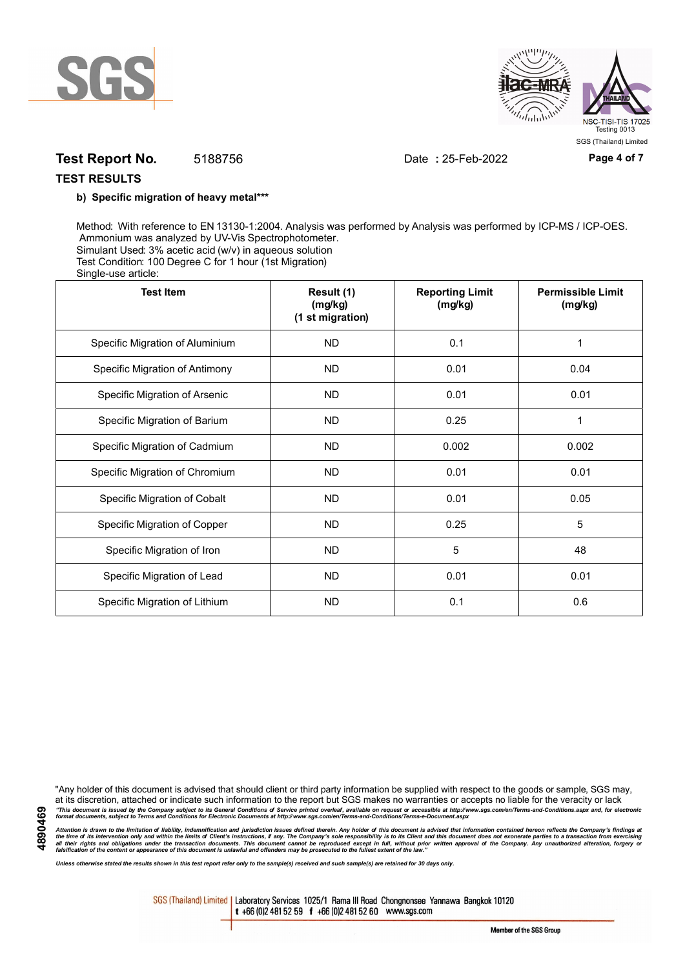



# **Test Report No.** 5188756 Date **:** 25-Feb-2022 **Page 4 of 7**

### **TEST RESULTS**

#### **b) Specific migration of heavy metal\*\*\***

Method: With reference to EN 13130-1:2004. Analysis was performed by Analysis was performed by ICP-MS / ICP-OES. Ammonium was analyzed by UV-Vis Spectrophotometer. Simulant Used: 3% acetic acid (w/v) in aqueous solution Test Condition: 100 Degree C for 1 hour (1st Migration) Single-use article:

| <b>Test Item</b>                | Result (1)<br>(mg/kg)<br>(1 st migration) | <b>Reporting Limit</b><br>(mg/kg) | <b>Permissible Limit</b><br>(mg/kg) |
|---------------------------------|-------------------------------------------|-----------------------------------|-------------------------------------|
| Specific Migration of Aluminium | <b>ND</b>                                 | 0.1                               | 1                                   |
| Specific Migration of Antimony  | <b>ND</b>                                 | 0.01                              | 0.04                                |
| Specific Migration of Arsenic   | <b>ND</b>                                 | 0.01                              | 0.01                                |
| Specific Migration of Barium    | <b>ND</b>                                 | 0.25                              |                                     |
| Specific Migration of Cadmium   | <b>ND</b>                                 | 0.002                             | 0.002                               |
| Specific Migration of Chromium  | <b>ND</b>                                 | 0.01                              | 0.01                                |
| Specific Migration of Cobalt    | <b>ND</b>                                 | 0.01                              | 0.05                                |
| Specific Migration of Copper    | <b>ND</b>                                 | 0.25                              | 5                                   |
| Specific Migration of Iron      | <b>ND</b>                                 | 5                                 | 48                                  |
| Specific Migration of Lead      | <b>ND</b>                                 | 0.01                              | 0.01                                |
| Specific Migration of Lithium   | <b>ND</b>                                 | 0.1                               | 0.6                                 |

"Any holder of this document is advised that should client or third party information be supplied with respect to the goods or sample, SGS may, at its discretion, attached or indicate such information to the report but SGS makes no warranties or accepts no liable for the veracity or lack "This document is issued by the Company subject to its General Conditions of Service printed overleaf, available on request or accessible at http://www.sgs.com/en/Terms-and-Conditions.aspx and, for electronic<br>format docume

Attention is drawn to the limitation of liability, indemnification and jurisdiction issues defined therein. Any holder of this document is advised that information contained hereon reflects the Company's findings at<br>all th

*Unless otherwise stated the results shown in this test report refer only to the sample(s) received and such sample(s) are retained for 30 days only.*

SGS (Thailand) Limited | Laboratory Services 1025/1 Rama III Road Chongnonsee Yannawa Bangkok 10120 t +66 (0)2 481 52 59 f +66 (0)2 481 52 60 www.sgs.com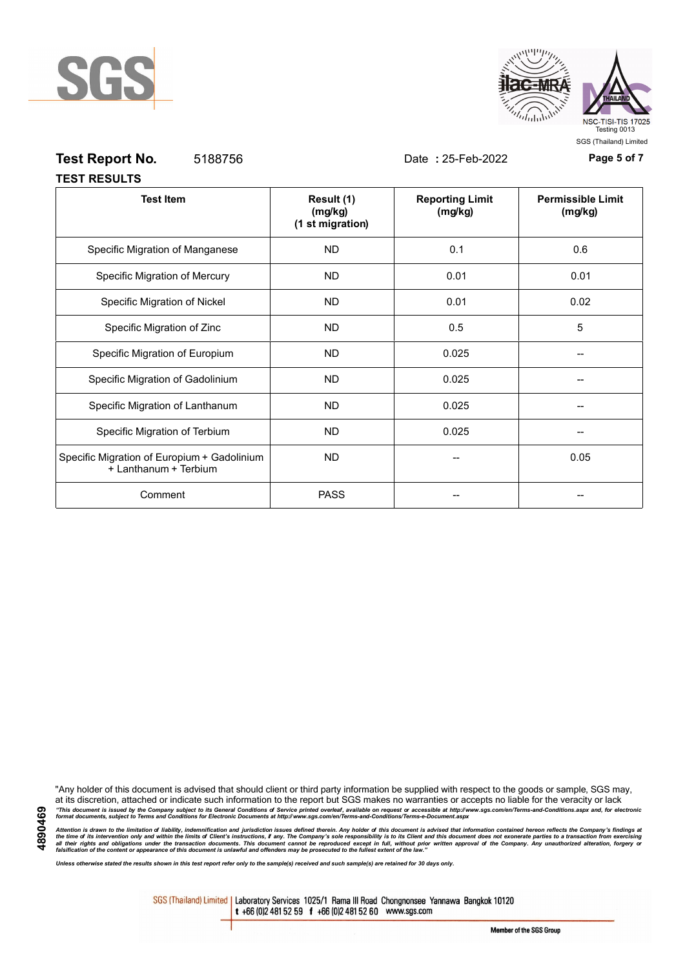



# **Test Report No.** 5188756 Date **:** 25-Feb-2022 **Page 5 of 7**

| <b>TEST RESULTS</b> |  |
|---------------------|--|

| <b>Test Item</b>                                                     | Result (1)<br>(mg/kg)<br>(1 st migration) | <b>Reporting Limit</b><br>(mg/kg) | <b>Permissible Limit</b><br>(mg/kg) |
|----------------------------------------------------------------------|-------------------------------------------|-----------------------------------|-------------------------------------|
| Specific Migration of Manganese                                      | <b>ND</b>                                 | 0.1                               | 0.6                                 |
| Specific Migration of Mercury                                        | <b>ND</b>                                 | 0.01                              | 0.01                                |
| Specific Migration of Nickel                                         | <b>ND</b>                                 | 0.01                              | 0.02                                |
| Specific Migration of Zinc                                           | <b>ND</b>                                 | 0.5                               | 5                                   |
| Specific Migration of Europium                                       | <b>ND</b>                                 | 0.025                             |                                     |
| Specific Migration of Gadolinium                                     | <b>ND</b>                                 | 0.025                             |                                     |
| Specific Migration of Lanthanum                                      | <b>ND</b>                                 | 0.025                             |                                     |
| Specific Migration of Terbium                                        | <b>ND</b>                                 | 0.025                             |                                     |
| Specific Migration of Europium + Gadolinium<br>+ Lanthanum + Terbium | <b>ND</b>                                 |                                   | 0.05                                |
| Comment                                                              | <b>PASS</b>                               |                                   |                                     |

"Any holder of this document is advised that should client or third party information be supplied with respect to the goods or sample, SGS may, at its discretion, attached or indicate such information to the report but SGS makes no warranties or accepts no liable for the veracity or lack "This document is issued by the Company subject to its General Conditions of Service printed overleaf, available on request or accessible at http://www.sgs.com/en/Terms-and-Conditions.aspx and, for electronic<br>format docume

Attention is drawn to the limitation of liability, indemnification and jurisdiction issues defined therein. Any holder of this document is advised that information contained hereon reflects the Company's findings at<br>all th

*Unless otherwise stated the results shown in this test report refer only to the sample(s) received and such sample(s) are retained for 30 days only.*

SGS (Thailand) Limited | Laboratory Services 1025/1 Rama III Road Chongnonsee Yannawa Bangkok 10120 t +66 (0)2 481 52 59 f +66 (0)2 481 52 60 www.sgs.com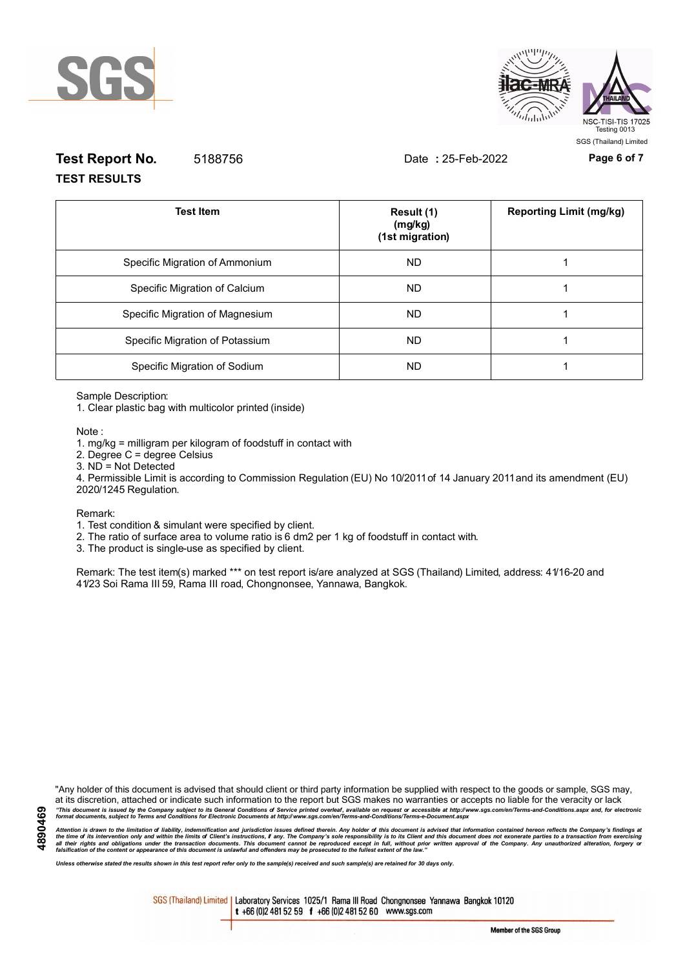



# **Test Report No.** 5188756 Date **:** 25-Feb-2022 **Page 6 of 7 TEST RESULTS**

| <b>Test Item</b>                | Result (1)<br>(mg/kg)<br>(1st migration) | <b>Reporting Limit (mg/kg)</b> |
|---------------------------------|------------------------------------------|--------------------------------|
| Specific Migration of Ammonium  | ND.                                      |                                |
| Specific Migration of Calcium   | ND.                                      |                                |
| Specific Migration of Magnesium | ND.                                      |                                |
| Specific Migration of Potassium | <b>ND</b>                                |                                |
| Specific Migration of Sodium    | <b>ND</b>                                |                                |

Sample Description:

1. Clear plastic bag with multicolor printed (inside)

Note :

1. mg/kg = milligram per kilogram of foodstuff in contact with

- 2. Degree C = degree Celsius
- 3. ND = Not Detected

4. Permissible Limit is according to Commission Regulation (EU) No 10/2011 of 14 January 2011 and its amendment (EU) 2020/1245 Regulation.

Remark:

1. Test condition & simulant were specified by client.

2. The ratio of surface area to volume ratio is 6 dm2 per 1 kg of foodstuff in contact with.

3. The product is single-use as specified by client.

Remark: The test item(s) marked \*\*\* on test report is/are analyzed at SGS (Thailand) Limited, address: 41/16-20 and 41/23 Soi Rama III 59, Rama III road, Chongnonsee, Yannawa, Bangkok.

"Any holder of this document is advised that should client or third party information be supplied with respect to the goods or sample, SGS may, at its discretion, attached or indicate such information to the report but SGS makes no warranties or accepts no liable for the veracity or lack "This document is issued by the Company subject to its General Conditions of Service printed overleaf, available on request or accessible at http://www.sgs.com/en/Terms-and-Conditions.aspx and, for electronic<br>format docume

Attention is drawn to the limitation of liability, indemnification and jurisdiction issues defined therein. Any holder of this document is advised that information contained hereon reflects the Company's findings at<br>all th

*Unless otherwise stated the results shown in this test report refer only to the sample(s) received and such sample(s) are retained for 30 days only.*